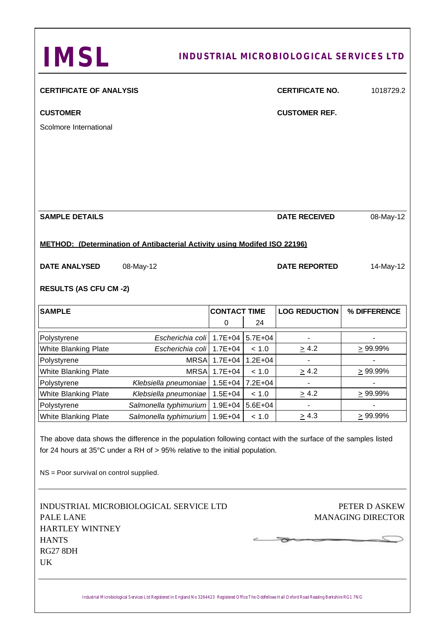| <b>IMSL</b>                                                                                               |                                                                                                                                                                                                          |                     |             | <b>INDUSTRIAL MICROBIOLOGICAL SERVICES LTD</b> |                                           |
|-----------------------------------------------------------------------------------------------------------|----------------------------------------------------------------------------------------------------------------------------------------------------------------------------------------------------------|---------------------|-------------|------------------------------------------------|-------------------------------------------|
| <b>CERTIFICATE OF ANALYSIS</b>                                                                            |                                                                                                                                                                                                          |                     |             | <b>CERTIFICATE NO.</b>                         | 1018729.2                                 |
| <b>CUSTOMER</b>                                                                                           |                                                                                                                                                                                                          |                     |             | <b>CUSTOMER REF.</b>                           |                                           |
| Scolmore International                                                                                    |                                                                                                                                                                                                          |                     |             |                                                |                                           |
|                                                                                                           |                                                                                                                                                                                                          |                     |             |                                                |                                           |
| <b>SAMPLE DETAILS</b>                                                                                     |                                                                                                                                                                                                          |                     |             | <b>DATE RECEIVED</b>                           | 08-May-12                                 |
|                                                                                                           | <b>METHOD: (Determination of Antibacterial Activity using Modifed ISO 22196)</b>                                                                                                                         |                     |             |                                                |                                           |
| <b>DATE ANALYSED</b>                                                                                      | 08-May-12                                                                                                                                                                                                |                     |             | <b>DATE REPORTED</b>                           | 14-May-12                                 |
| <b>RESULTS (AS CFU CM-2)</b>                                                                              |                                                                                                                                                                                                          |                     |             |                                                |                                           |
| <b>SAMPLE</b>                                                                                             |                                                                                                                                                                                                          | <b>CONTACT TIME</b> |             | <b>LOG REDUCTION</b>                           | % DIFFERENCE                              |
|                                                                                                           |                                                                                                                                                                                                          | 0                   | 24          |                                                |                                           |
| Polystyrene                                                                                               | Escherichia coli 1.7E+04                                                                                                                                                                                 |                     | $5.7E + 04$ |                                                |                                           |
| <b>White Blanking Plate</b>                                                                               | Escherichia coli 1.7E+04                                                                                                                                                                                 |                     | < 1.0       | $\geq 4.2$                                     | $\geq 99.99\%$                            |
| Polystyrene                                                                                               | <b>MRSA</b>                                                                                                                                                                                              | $1.7E + 04$         | $1.2E + 04$ |                                                |                                           |
| White Blanking Plate                                                                                      |                                                                                                                                                                                                          | MRSA 1.7E+04        | < 1.0       | $\geq 4.2$                                     | $\geq 99.99\%$                            |
| Polystyrene                                                                                               | Klebsiella pneumoniae                                                                                                                                                                                    | $1.5E + 04$         | $7.2E + 04$ | $\overline{\phantom{a}}$                       |                                           |
| <b>White Blanking Plate</b>                                                                               | Klebsiella pneumoniae                                                                                                                                                                                    | $1.5E + 04$         | < 1.0       | $\geq 4.2$                                     | $\geq 99.99\%$                            |
| Polystyrene                                                                                               | Salmonella typhimurium                                                                                                                                                                                   | $1.9E + 04$         | $5.6E + 04$ |                                                |                                           |
| White Blanking Plate                                                                                      | Salmonella typhimurium                                                                                                                                                                                   | $1.9E + 04$         | < 1.0       | $\geq 4.3$                                     | $\geq 99.99\%$                            |
| NS = Poor survival on control supplied.                                                                   | The above data shows the difference in the population following contact with the surface of the samples listed<br>for 24 hours at $35^{\circ}$ C under a RH of > 95% relative to the initial population. |                     |             |                                                |                                           |
| INDUSTRIAL MICROBIOLOGICAL SERVICE LTD<br>PALE LANE<br>HARTLEY WINTNEY<br><b>HANTS</b><br><b>RG27 8DH</b> |                                                                                                                                                                                                          |                     |             |                                                | PETER D ASKEW<br><b>MANAGING DIRECTOR</b> |
| UK                                                                                                        |                                                                                                                                                                                                          |                     |             |                                                |                                           |

Industrial Microbiological Services Ltd Registered in England No 3264423 Registered Office The Oddfellows Hall Oxford Road Reading Berkshire RG1 7NG